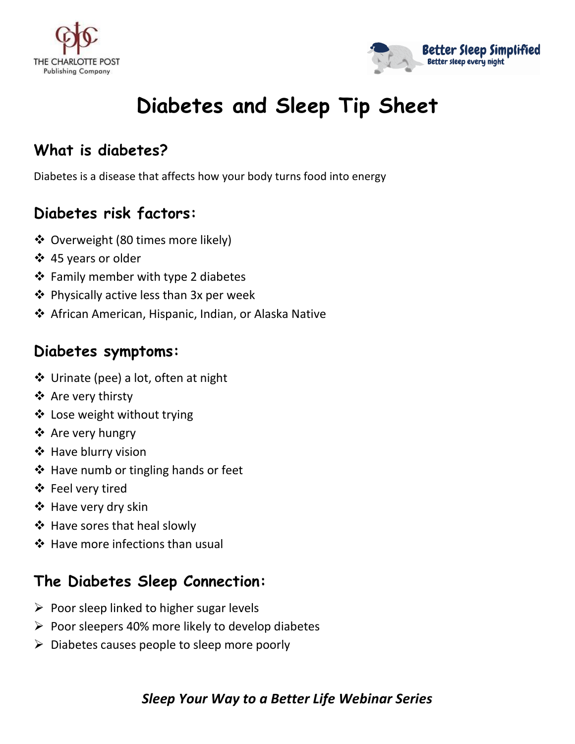



# **Diabetes and Sleep Tip Sheet**

## **What is diabetes?**

Diabetes is a disease that affects how your body turns food into energy

## **Diabetes risk factors:**

- ❖ Overweight (80 times more likely)
- ❖ 45 years or older
- ❖ Family member with type 2 diabetes
- ❖ Physically active less than 3x per week
- ❖ African American, Hispanic, Indian, or Alaska Native

## **Diabetes symptoms:**

- ❖ Urinate (pee) a lot, often at night
- ❖ Are very thirsty
- ❖ Lose weight without trying
- ❖ Are very hungry
- ❖ Have blurry vision
- ❖ Have numb or tingling hands or feet
- ❖ Feel very tired
- ❖ Have very dry skin
- ❖ Have sores that heal slowly
- ❖ Have more infections than usual

## **The Diabetes Sleep Connection:**

- $\triangleright$  Poor sleep linked to higher sugar levels
- $\triangleright$  Poor sleepers 40% more likely to develop diabetes
- $\triangleright$  Diabetes causes people to sleep more poorly

#### *Sleep Your Way to a Better Life Webinar Series*